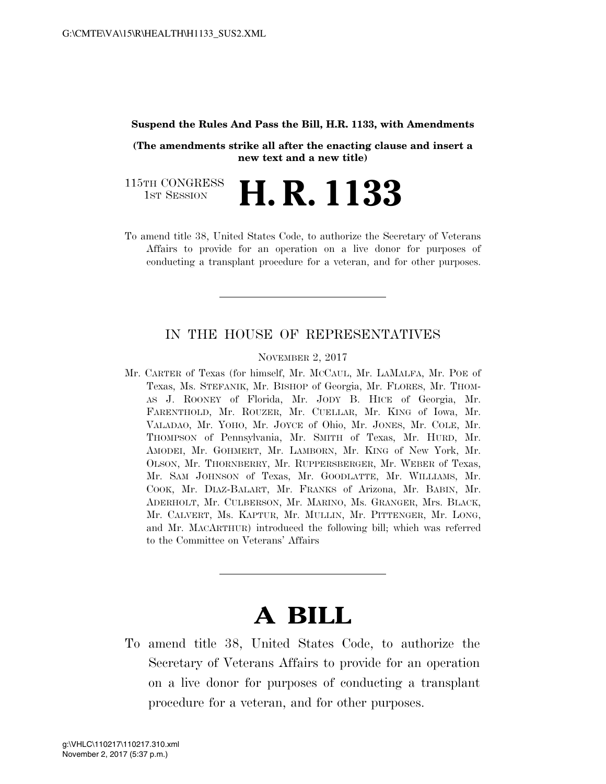## **Suspend the Rules And Pass the Bill, H.R. 1133, with Amendments**

**(The amendments strike all after the enacting clause and insert a new text and a new title)**

115TH CONGRESS<br>1st Session H. R. 1133

To amend title 38, United States Code, to authorize the Secretary of Veterans Affairs to provide for an operation on a live donor for purposes of conducting a transplant procedure for a veteran, and for other purposes.

## IN THE HOUSE OF REPRESENTATIVES

NOVEMBER 2, 2017

Mr. CARTER of Texas (for himself, Mr. MCCAUL, Mr. LAMALFA, Mr. POE of Texas, Ms. STEFANIK, Mr. BISHOP of Georgia, Mr. FLORES, Mr. THOM-AS J. ROONEY of Florida, Mr. JODY B. HICE of Georgia, Mr. FARENTHOLD, Mr. ROUZER, Mr. CUELLAR, Mr. KING of Iowa, Mr. VALADAO, Mr. YOHO, Mr. JOYCE of Ohio, Mr. JONES, Mr. COLE, Mr. THOMPSON of Pennsylvania, Mr. SMITH of Texas, Mr. HURD, Mr. AMODEI, Mr. GOHMERT, Mr. LAMBORN, Mr. KING of New York, Mr. OLSON, Mr. THORNBERRY, Mr. RUPPERSBERGER, Mr. WEBER of Texas, Mr. SAM JOHNSON of Texas, Mr. GOODLATTE, Mr. WILLIAMS, Mr. COOK, Mr. DIAZ-BALART, Mr. FRANKS of Arizona, Mr. BABIN, Mr. ADERHOLT, Mr. CULBERSON, Mr. MARINO, Ms. GRANGER, Mrs. BLACK, Mr. CALVERT, Ms. KAPTUR, Mr. MULLIN, Mr. PITTENGER, Mr. LONG, and Mr. MACARTHUR) introduced the following bill; which was referred to the Committee on Veterans' Affairs

## **A BILL**

To amend title 38, United States Code, to authorize the Secretary of Veterans Affairs to provide for an operation on a live donor for purposes of conducting a transplant procedure for a veteran, and for other purposes.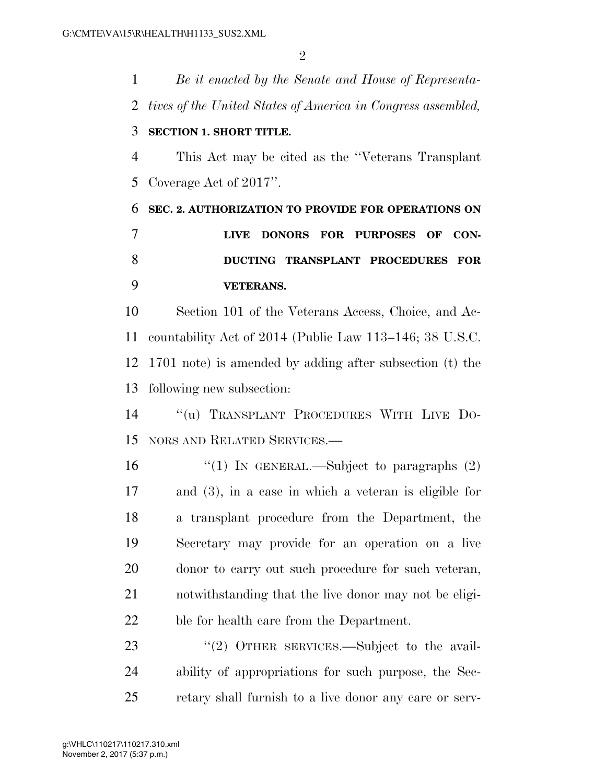*Be it enacted by the Senate and House of Representa- tives of the United States of America in Congress assembled,*  **SECTION 1. SHORT TITLE.**  This Act may be cited as the ''Veterans Transplant Coverage Act of 2017''. **SEC. 2. AUTHORIZATION TO PROVIDE FOR OPERATIONS ON LIVE DONORS FOR PURPOSES OF CON- DUCTING TRANSPLANT PROCEDURES FOR VETERANS.**  Section 101 of the Veterans Access, Choice, and Ac- countability Act of 2014 (Public Law 113–146; 38 U.S.C. 1701 note) is amended by adding after subsection (t) the following new subsection: ''(u) TRANSPLANT PROCEDURES WITH LIVE DO- NORS AND RELATED SERVICES.—  $\frac{1}{2}$  (1) In GENERAL.—Subject to paragraphs (2) and (3), in a case in which a veteran is eligible for a transplant procedure from the Department, the Secretary may provide for an operation on a live donor to carry out such procedure for such veteran, notwithstanding that the live donor may not be eligi- ble for health care from the Department. 23 "(2) OTHER SERVICES.—Subject to the avail-ability of appropriations for such purpose, the Sec-

retary shall furnish to a live donor any care or serv-